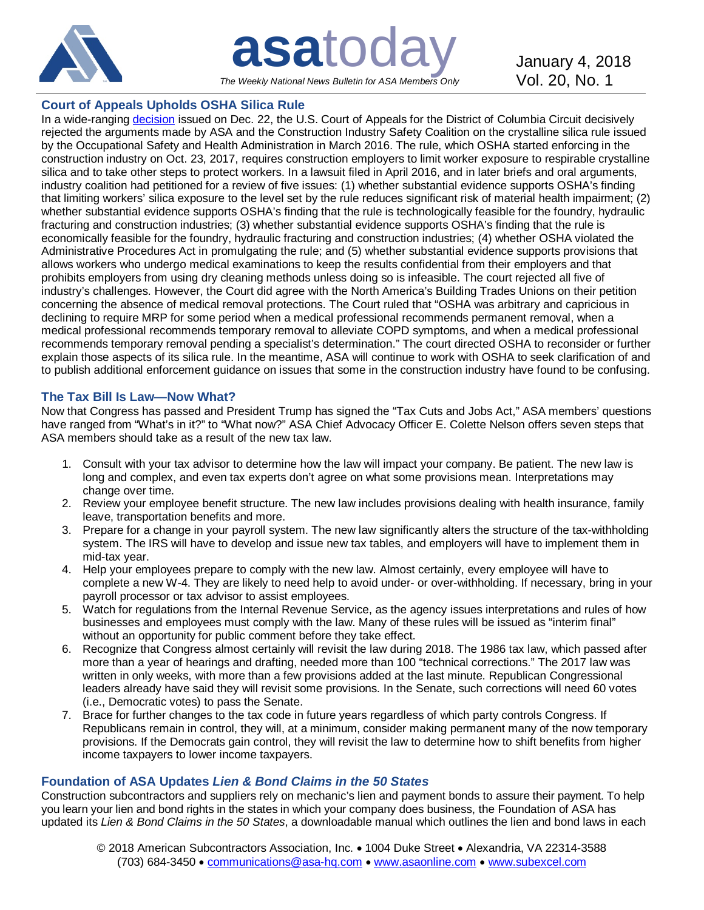

**asa**today January 4, 2018 *The Weekly National News Bulletin for ASA Members Only*

# **Court of Appeals Upholds OSHA Silica Rule**

In a wide-ranging [decision](http://bit.ly/2EPO65q) issued on Dec. 22, the U.S. Court of Appeals for the District of Columbia Circuit decisively rejected the arguments made by ASA and the Construction Industry Safety Coalition on the crystalline silica rule issued by the Occupational Safety and Health Administration in March 2016. The rule, which OSHA started enforcing in the construction industry on Oct. 23, 2017, requires construction employers to limit worker exposure to respirable crystalline silica and to take other steps to protect workers. In a lawsuit filed in April 2016, and in later briefs and oral arguments, industry coalition had petitioned for a review of five issues: (1) whether substantial evidence supports OSHA's finding that limiting workers' silica exposure to the level set by the rule reduces significant risk of material health impairment; (2) whether substantial evidence supports OSHA's finding that the rule is technologically feasible for the foundry, hydraulic fracturing and construction industries; (3) whether substantial evidence supports OSHA's finding that the rule is economically feasible for the foundry, hydraulic fracturing and construction industries; (4) whether OSHA violated the Administrative Procedures Act in promulgating the rule; and (5) whether substantial evidence supports provisions that allows workers who undergo medical examinations to keep the results confidential from their employers and that prohibits employers from using dry cleaning methods unless doing so is infeasible. The court rejected all five of industry's challenges. However, the Court did agree with the North America's Building Trades Unions on their petition concerning the absence of medical removal protections. The Court ruled that "OSHA was arbitrary and capricious in declining to require MRP for some period when a medical professional recommends permanent removal, when a medical professional recommends temporary removal to alleviate COPD symptoms, and when a medical professional recommends temporary removal pending a specialist's determination." The court directed OSHA to reconsider or further explain those aspects of its silica rule. In the meantime, ASA will continue to work with OSHA to seek clarification of and to publish additional enforcement guidance on issues that some in the construction industry have found to be confusing.

## **The Tax Bill Is Law—Now What?**

Now that Congress has passed and President Trump has signed the "Tax Cuts and Jobs Act," ASA members' questions have ranged from "What's in it?" to "What now?" ASA Chief Advocacy Officer E. Colette Nelson offers seven steps that ASA members should take as a result of the new tax law.

- 1. Consult with your tax advisor to determine how the law will impact your company. Be patient. The new law is long and complex, and even tax experts don't agree on what some provisions mean. Interpretations may change over time.
- 2. Review your employee benefit structure. The new law includes provisions dealing with health insurance, family leave, transportation benefits and more.
- 3. Prepare for a change in your payroll system. The new law significantly alters the structure of the tax-withholding system. The IRS will have to develop and issue new tax tables, and employers will have to implement them in mid-tax year.
- 4. Help your employees prepare to comply with the new law. Almost certainly, every employee will have to complete a new W-4. They are likely to need help to avoid under- or over-withholding. If necessary, bring in your payroll processor or tax advisor to assist employees.
- 5. Watch for regulations from the Internal Revenue Service, as the agency issues interpretations and rules of how businesses and employees must comply with the law. Many of these rules will be issued as "interim final" without an opportunity for public comment before they take effect.
- 6. Recognize that Congress almost certainly will revisit the law during 2018. The 1986 tax law, which passed after more than a year of hearings and drafting, needed more than 100 "technical corrections." The 2017 law was written in only weeks, with more than a few provisions added at the last minute. Republican Congressional leaders already have said they will revisit some provisions. In the Senate, such corrections will need 60 votes (i.e., Democratic votes) to pass the Senate.
- 7. Brace for further changes to the tax code in future years regardless of which party controls Congress. If Republicans remain in control, they will, at a minimum, consider making permanent many of the now temporary provisions. If the Democrats gain control, they will revisit the law to determine how to shift benefits from higher income taxpayers to lower income taxpayers.

## **Foundation of ASA Updates** *Lien & Bond Claims in the 50 States*

Construction subcontractors and suppliers rely on mechanic's lien and payment bonds to assure their payment. To help you learn your lien and bond rights in the states in which your company does business, the Foundation of ASA has updated its *Lien & Bond Claims in the 50 States*, a downloadable manual which outlines the lien and bond laws in each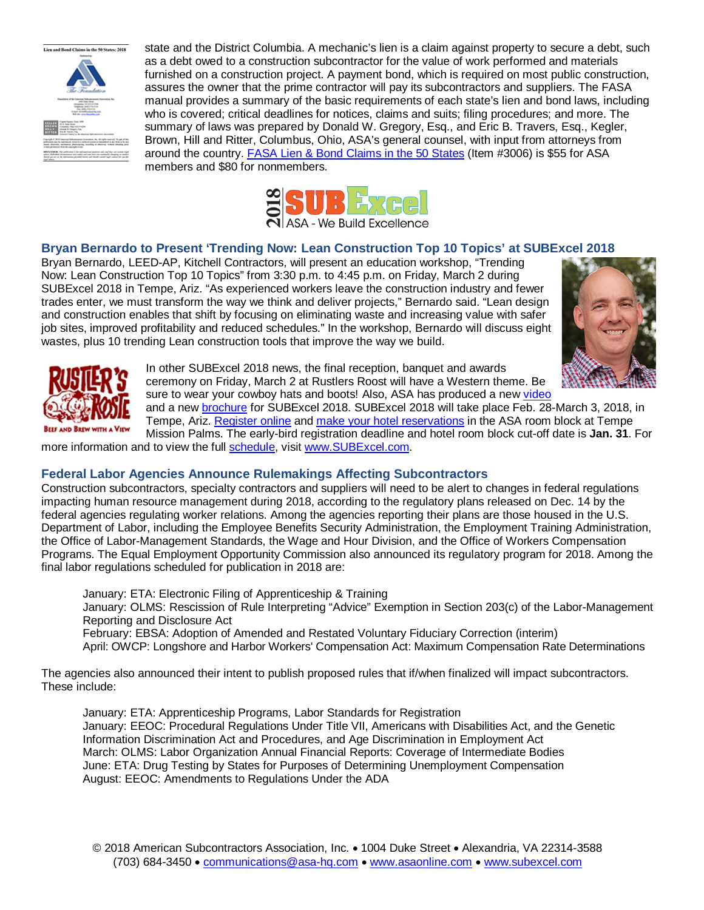

state and the District Columbia. A mechanic's lien is a claim against property to secure a debt, such as a debt owed to a construction subcontractor for the value of work performed and materials furnished on a construction project. A payment bond, which is required on most public construction, assures the owner that the prime contractor will pay its subcontractors and suppliers. The FASA manual provides a summary of the basic requirements of each state's lien and bond laws, including who is covered; critical deadlines for notices, claims and suits; filing procedures; and more. The summary of laws was prepared by Donald W. Gregory, Esq., and Eric B. Travers, Esq., Kegler, Brown, Hill and Ritter, Columbus, Ohio, ASA's general counsel, with input from attorneys from around the country. [FASA Lien & Bond Claims in the 50 States](http://bit.ly/1lokmA7) (Item #3006) is \$55 for ASA members and \$80 for nonmembers.



# **Bryan Bernardo to Present 'Trending Now: Lean Construction Top 10 Topics' at SUBExcel 2018**

Bryan Bernardo, LEED-AP, Kitchell Contractors, will present an education workshop, "Trending Now: Lean Construction Top 10 Topics" from 3:30 p.m. to 4:45 p.m. on Friday, March 2 during SUBExcel 2018 in Tempe, Ariz. "As experienced workers leave the construction industry and fewer trades enter, we must transform the way we think and deliver projects," Bernardo said. "Lean design and construction enables that shift by focusing on eliminating waste and increasing value with safer job sites, improved profitability and reduced schedules." In the workshop, Bernardo will discuss eight wastes, plus 10 trending Lean construction tools that improve the way we build.





In other SUBExcel 2018 news, the final reception, banquet and awards ceremony on Friday, March 2 at Rustlers Roost will have a Western theme. Be sure to wear your cowboy hats and boots! Also, ASA has produced a new [video](https://youtu.be/fnJKJwnWbq4)

and a new [brochure](http://bit.ly/2l0d7lr) for SUBExcel 2018. SUBExcel 2018 will take place Feb. 28-March 3, 2018, in Tempe, Ariz. [Register online](http://bit.ly/2w8y1XQ) and [make your hotel reservations](http://bit.ly/2j4xjox) in the ASA room block at Tempe Mission Palms. The early-bird registration deadline and hotel room block cut-off date is **Jan. 31**. For

more information and to view the full [schedule,](http://bit.ly/2iS39S4) visit [www.SUBExcel.com.](http://www.subexcel.com/)

## **Federal Labor Agencies Announce Rulemakings Affecting Subcontractors**

Construction subcontractors, specialty contractors and suppliers will need to be alert to changes in federal regulations impacting human resource management during 2018, according to the regulatory plans released on Dec. 14 by the federal agencies regulating worker relations. Among the agencies reporting their plans are those housed in the U.S. Department of Labor, including the Employee Benefits Security Administration, the Employment Training Administration, the Office of Labor-Management Standards, the Wage and Hour Division, and the Office of Workers Compensation Programs. The Equal Employment Opportunity Commission also announced its regulatory program for 2018. Among the final labor regulations scheduled for publication in 2018 are:

January: ETA: Electronic Filing of Apprenticeship & Training January: OLMS: Rescission of Rule Interpreting "Advice" Exemption in Section 203(c) of the Labor-Management Reporting and Disclosure Act February: EBSA: Adoption of Amended and Restated Voluntary Fiduciary Correction (interim) April: OWCP: Longshore and Harbor Workers' Compensation Act: Maximum Compensation Rate Determinations

The agencies also announced their intent to publish proposed rules that if/when finalized will impact subcontractors. These include:

January: ETA: Apprenticeship Programs, Labor Standards for Registration January: EEOC: Procedural Regulations Under Title VII, Americans with Disabilities Act, and the Genetic Information Discrimination Act and Procedures, and Age Discrimination in Employment Act March: OLMS: Labor Organization Annual Financial Reports: Coverage of Intermediate Bodies June: ETA: Drug Testing by States for Purposes of Determining Unemployment Compensation August: EEOC: Amendments to Regulations Under the ADA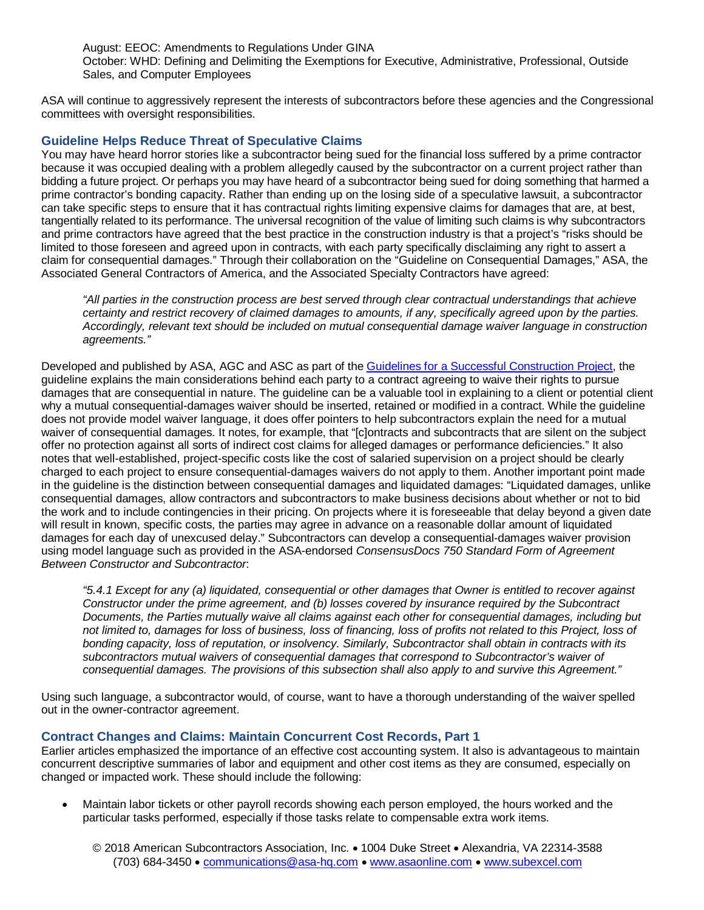August: EEOC: Amendments to Regulations Under GINA October: WHD: Defining and Delimiting the Exemptions for Executive, Administrative, Professional, Outside Sales, and Computer Employees

ASA will continue to aggressively represent the interests of subcontractors before these agencies and the Congressional committees with oversight responsibilities.

## **Guideline Helps Reduce Threat of Speculative Claims**

You may have heard horror stories like a subcontractor being sued for the financial loss suffered by a prime contractor because it was occupied dealing with a problem allegedly caused by the subcontractor on a current project rather than bidding a future project. Or perhaps you may have heard of a subcontractor being sued for doing something that harmed a prime contractor's bonding capacity. Rather than ending up on the losing side of a speculative lawsuit, a subcontractor can take specific steps to ensure that it has contractual rights limiting expensive claims for damages that are, at best, tangentially related to its performance. The universal recognition of the value of limiting such claims is why subcontractors and prime contractors have agreed that the best practice in the construction industry is that a project's "risks should be limited to those foreseen and agreed upon in contracts, with each party specifically disclaiming any right to assert a claim for consequential damages." Through their collaboration on the "Guideline on Consequential Damages," ASA, the Associated General Contractors of America, and the Associated Specialty Contractors have agreed:

*"All parties in the construction process are best served through clear contractual understandings that achieve certainty and restrict recovery of claimed damages to amounts, if any, specifically agreed upon by the parties. Accordingly, relevant text should be included on mutual consequential damage waiver language in construction agreements."* 

Developed and published by ASA, AGC and ASC as part of the [Guidelines for a Successful Construction Project,](http://bit.ly/29r0aLT) the guideline explains the main considerations behind each party to a contract agreeing to waive their rights to pursue damages that are consequential in nature. The guideline can be a valuable tool in explaining to a client or potential client why a mutual consequential-damages waiver should be inserted, retained or modified in a contract. While the guideline does not provide model waiver language, it does offer pointers to help subcontractors explain the need for a mutual waiver of consequential damages. It notes, for example, that "[c]ontracts and subcontracts that are silent on the subject offer no protection against all sorts of indirect cost claims for alleged damages or performance deficiencies." It also notes that well-established, project-specific costs like the cost of salaried supervision on a project should be clearly charged to each project to ensure consequential-damages waivers do not apply to them. Another important point made in the guideline is the distinction between consequential damages and liquidated damages: "Liquidated damages, unlike consequential damages, allow contractors and subcontractors to make business decisions about whether or not to bid the work and to include contingencies in their pricing. On projects where it is foreseeable that delay beyond a given date will result in known, specific costs, the parties may agree in advance on a reasonable dollar amount of liquidated damages for each day of unexcused delay." Subcontractors can develop a consequential-damages waiver provision using model language such as provided in the ASA-endorsed *ConsensusDocs 750 Standard Form of Agreement Between Constructor and Subcontractor*:

*"5.4.1 Except for any (a) liquidated, consequential or other damages that Owner is entitled to recover against Constructor under the prime agreement, and (b) losses covered by insurance required by the Subcontract Documents, the Parties mutually waive all claims against each other for consequential damages, including but not limited to, damages for loss of business, loss of financing, loss of profits not related to this Project, loss of bonding capacity, loss of reputation, or insolvency. Similarly, Subcontractor shall obtain in contracts with its subcontractors mutual waivers of consequential damages that correspond to Subcontractor's waiver of consequential damages. The provisions of this subsection shall also apply to and survive this Agreement."*

Using such language, a subcontractor would, of course, want to have a thorough understanding of the waiver spelled out in the owner-contractor agreement.

## **Contract Changes and Claims: Maintain Concurrent Cost Records, Part 1**

Earlier articles emphasized the importance of an effective cost accounting system. It also is advantageous to maintain concurrent descriptive summaries of labor and equipment and other cost items as they are consumed, especially on changed or impacted work. These should include the following:

• Maintain labor tickets or other payroll records showing each person employed, the hours worked and the particular tasks performed, especially if those tasks relate to compensable extra work items.